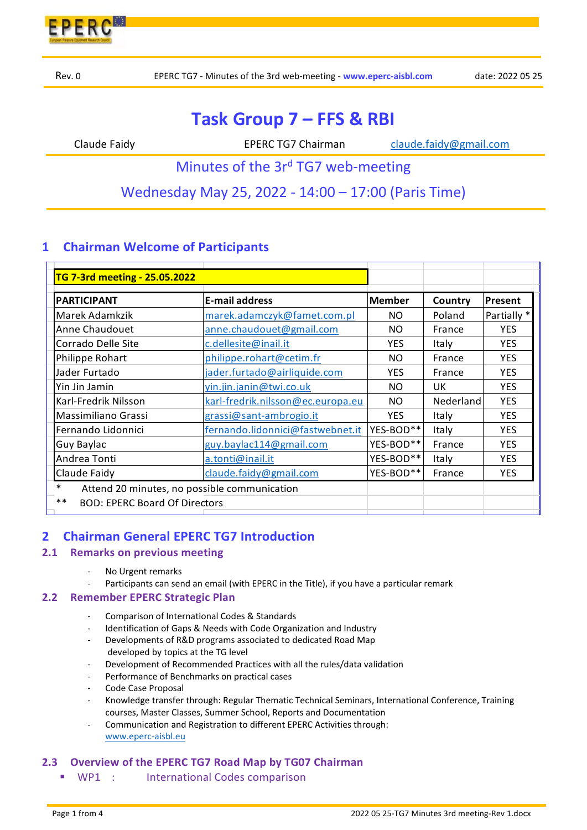

# **Task Group 7 – FFS & RBI**

Claude Faidy **School Claude Faidy EPERC TG7 Chairman Claude.faidy@gmail.com** 

Minutes of the  $3r<sup>d</sup>$  TG7 web-meeting

Wednesday May 25, 2022 ‐ 14:00 – 17:00 (Paris Time)

# **1 Chairman Welcome of Participants**

| TG 7-3rd meeting - 25.05.2022                          |                                   |               |           |             |  |
|--------------------------------------------------------|-----------------------------------|---------------|-----------|-------------|--|
| <b>PARTICIPANT</b>                                     | <b>E-mail address</b>             | <b>Member</b> | Country   | Present     |  |
| Marek Adamkzik                                         | marek.adamczyk@famet.com.pl       | <b>NO</b>     | Poland    | Partially * |  |
| <b>Anne Chaudouet</b>                                  | anne.chaudouet@gmail.com          | NO.           | France    | <b>YES</b>  |  |
| Corrado Delle Site                                     | c.dellesite@inail.it              | <b>YES</b>    | Italy     | <b>YES</b>  |  |
| Philippe Rohart                                        | philippe.rohart@cetim.fr          | NO.           | France    | <b>YES</b>  |  |
| Jader Furtado                                          | jader.furtado@airliquide.com      | <b>YES</b>    | France    | <b>YES</b>  |  |
| Yin Jin Jamin                                          | yin.jin.janin@twi.co.uk           | NO.           | UK        | <b>YES</b>  |  |
| Karl-Fredrik Nilsson                                   | karl-fredrik.nilsson@ec.europa.eu | NO.           | Nederland | <b>YES</b>  |  |
| Massimiliano Grassi                                    | grassi@sant-ambrogio.it           | <b>YES</b>    | Italy     | <b>YES</b>  |  |
| Fernando Lidonnici                                     | fernando.lidonnici@fastwebnet.it  | YES-BOD**     | Italy     | <b>YES</b>  |  |
| Guy Baylac                                             | guy.baylac114@gmail.com           | YES-BOD**     | France    | <b>YES</b>  |  |
| Andrea Tonti                                           | a.tonti@inail.it                  | YES-BOD**     | Italy     | <b>YES</b>  |  |
| Claude Faidy                                           | claude.faidy@gmail.com            | YES-BOD**     | France    | <b>YES</b>  |  |
| $\ast$<br>Attend 20 minutes, no possible communication |                                   |               |           |             |  |
| $**$<br><b>BOD: EPERC Board Of Directors</b>           |                                   |               |           |             |  |
|                                                        |                                   |               |           |             |  |

# **2 Chairman General EPERC TG7 Introduction**

#### **2.1 Remarks on previous meeting**

- ‐ No Urgent remarks
- Participants can send an email (with EPERC in the Title), if you have a particular remark

#### **2.2 Remember EPERC Strategic Plan**

- ‐ Comparison of International Codes & Standards
- Identification of Gaps & Needs with Code Organization and Industry
- ‐ Developments of R&D programs associated to dedicated Road Map developed by topics at the TG level
- ‐ Development of Recommended Practices with all the rules/data validation
- ‐ Performance of Benchmarks on practical cases
- ‐ Code Case Proposal
- ‐ Knowledge transfer through: Regular Thematic Technical Seminars, International Conference, Training courses, Master Classes, Summer School, Reports and Documentation
- ‐ Communication and Registration to different EPERC Activities through: www.eperc‐aisbl.eu

#### **2.3 Overview of the EPERC TG7 Road Map by TG07 Chairman**

WP1 : International Codes comparison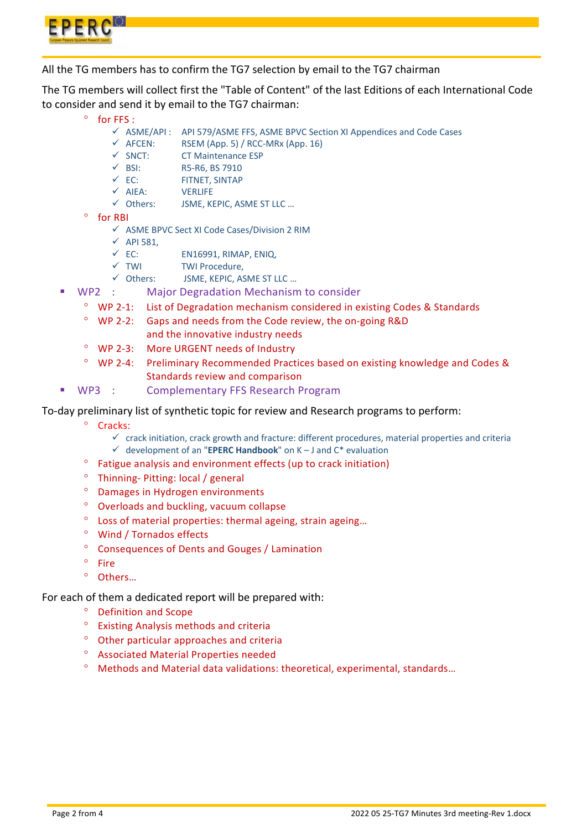

All the TG members has to confirm the TG7 selection by email to the TG7 chairman

The TG members will collect first the "Table of Content" of the last Editions of each International Code to consider and send it by email to the TG7 chairman:

- $^{\circ}$  for FFS :
	- ASME/API : API 579/ASME FFS, ASME BPVC Section XI Appendices and Code Cases
	- $\checkmark$  AFCEN: RSEM (App. 5) / RCC-MRx (App. 16)
	- $\checkmark$  SNCT: CT Maintenance ESP
	- $\checkmark$  BSI: R5-R6, BS 7910
	- $\checkmark$  EC: FITNET, SINTAP
	- $\checkmark$  AIEA: VERLIFE<br> $\checkmark$  Others: ISMF. KI
	- JSME, KEPIC, ASME ST LLC ...
- <sup>o</sup> for RBI
	- $\checkmark$  ASME BPVC Sect XI Code Cases/Division 2 RIM
	- $\checkmark$  API 581,
	- $\checkmark$  EC: EN16991, RIMAP, ENIQ,
	- $\checkmark$  TWI TWI Procedure.
	- Others: JSME, KEPIC, ASME ST LLC …
- WP2 : Major Degradation Mechanism to consider
	- WP 2‐1: List of Degradation mechanism considered in existing Codes & Standards
	- WP 2‐2: Gaps and needs from the Code review, the on‐going R&D and the innovative industry needs
	- WP 2‐3: More URGENT needs of Industry
	- WP 2‐4: Preliminary Recommended Practices based on existing knowledge and Codes & Standards review and comparison
- WP3 : Complementary FFS Research Program

To‐day preliminary list of synthetic topic for review and Research programs to perform:

- <sup>o</sup> Cracks:
	- $\checkmark$  crack initiation, crack growth and fracture: different procedures, material properties and criteria development of an "**EPERC Handbook**" on K – J and C\* evaluation
- Fatigue analysis and environment effects (up to crack initiation)
- Thinning‐ Pitting: local / general
- Damages in Hydrogen environments
- Overloads and buckling, vacuum collapse
- Loss of material properties: thermal ageing, strain ageing…
- Wind / Tornados effects
- Consequences of Dents and Gouges / Lamination
- $^{\circ}$  Fire
- Others…

For each of them a dedicated report will be prepared with:

- Definition and Scope
- Existing Analysis methods and criteria
- Other particular approaches and criteria
- Associated Material Properties needed
- Methods and Material data validations: theoretical, experimental, standards…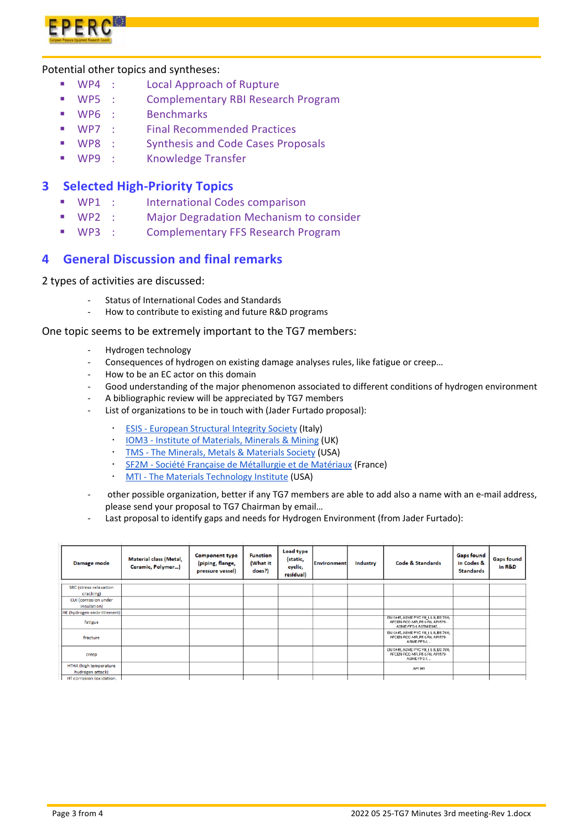

#### Potential other topics and syntheses:

- WP4 : Local Approach of Rupture
- WP5 : Complementary RBI Research Program
- WP6 : Benchmarks
- WP7 : Final Recommended Practices
- WP8 : Synthesis and Code Cases Proposals
- WP9 : Knowledge Transfer

## **3 Selected High‐Priority Topics**

- WP1 : International Codes comparison
- WP2 : Major Degradation Mechanism to consider
- WP3 : Complementary FFS Research Program

# **4 General Discussion and final remarks**

2 types of activities are discussed:

- ‐ Status of International Codes and Standards
- How to contribute to existing and future R&D programs

#### One topic seems to be extremely important to the TG7 members:

- ‐ Hydrogen technology
- ‐ Consequences of hydrogen on existing damage analyses rules, like fatigue or creep…
- ‐ How to be an EC actor on this domain
- Good understanding of the major phenomenon associated to different conditions of hydrogen environment
- ‐ A bibliographic review will be appreciated by TG7 members
- List of organizations to be in touch with (Jader Furtado proposal):
	- ESIS ‐ European Structural Integrity Society (Italy)
	- IOM3 ‐ Institute of Materials, Minerals & Mining (UK)
	- TMS ‐ The Minerals, Metals & Materials Society (USA)
	- SF2M ‐ Société Française de Métallurgie et de Matériaux (France)
	- MTI The Materials Technology Institute (USA)
- ‐ other possible organization, better if any TG7 members are able to add also a name with an e‐mail address, please send your proposal to TG7 Chairman by email…
- Last proposal to identify gaps and needs for Hydrogen Environment (from Jader Furtado):

| Damage mode                                | <b>Material class (Metal,</b><br>Ceramic, Polymer) | <b>Component type</b><br>(piping, flange,<br>pressure vessel) | <b>Function</b><br>(What it<br>does?) | <b>Load type</b><br>(static,<br>cyclic,<br>residual) | <b>Environment</b> | Industry | Code & Standards                                                                                           | <b>Gaps found</b><br>in Codes &<br><b>Standards</b> | <b>Gaps found</b><br>in R&D |
|--------------------------------------------|----------------------------------------------------|---------------------------------------------------------------|---------------------------------------|------------------------------------------------------|--------------------|----------|------------------------------------------------------------------------------------------------------------|-----------------------------------------------------|-----------------------------|
|                                            |                                                    |                                                               |                                       |                                                      |                    |          |                                                                                                            |                                                     |                             |
| <b>SRC</b> (stress relaxation<br>cracking) |                                                    |                                                               |                                       |                                                      |                    |          |                                                                                                            |                                                     |                             |
| CUI (corrosion under<br>insulation)        |                                                    |                                                               |                                       |                                                      |                    |          |                                                                                                            |                                                     |                             |
| HE (hydrogen embrittlement)                |                                                    |                                                               |                                       |                                                      |                    |          |                                                                                                            |                                                     |                             |
| fatigue                                    |                                                    |                                                               |                                       |                                                      |                    |          | EN 13445, ASME PVC VIII I, II, III, ES 7910,<br>AFCEN-RCC-MR, R5 & R6, API 579 -<br>ASME-FFS-1, ASTM E647. |                                                     |                             |
| fracture                                   |                                                    |                                                               |                                       |                                                      |                    |          | EN 13445, ASME PVC VIII., II, III, BS 7910,<br>AFCEN-RCC-MR, R5 & R6, API 579 -<br>ASME-FFS-1              |                                                     |                             |
| creep                                      |                                                    |                                                               |                                       |                                                      |                    |          | EN 13445, ASME PVC VIII., II, III, BS 7910,<br>AFCEN-RCC-MR, R5 & R6, API 579 -<br>ASME-FFS-1              |                                                     |                             |
| HTHA (high temperature<br>hydrogen attack) |                                                    |                                                               |                                       |                                                      |                    |          | API 941                                                                                                    |                                                     |                             |
| HT corrosion (oxidation.                   |                                                    |                                                               |                                       |                                                      |                    |          |                                                                                                            |                                                     |                             |